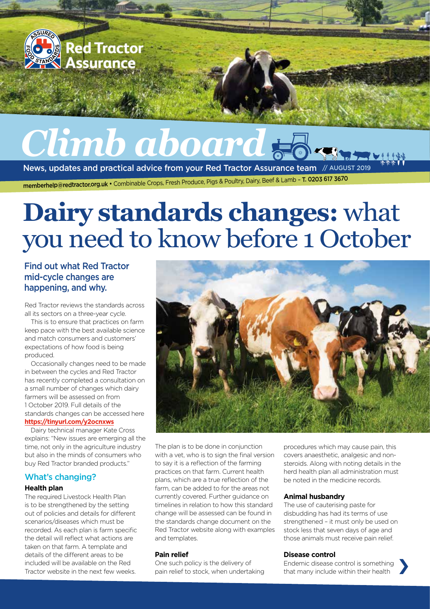

# **Dairy standards changes:** what you need to know before 1 October

#### Find out what Red Tractor mid-cycle changes are happening, and why.

Red Tractor reviews the standards across all its sectors on a three-year cycle.

This is to ensure that practices on farm keep pace with the best available science and match consumers and customers' expectations of how food is being produced.

Occasionally changes need to be made in between the cycles and Red Tractor has recently completed a consultation on a small number of changes which dairy farmers will be assessed on from 1 October 2019. Full details of the standards changes can be accessed here **<https://tinyurl.com/y2ocnxws>**

Dairy technical manager Kate Cross explains: "New issues are emerging all the time, not only in the agriculture industry but also in the minds of consumers who buy Red Tractor branded products."

#### What's changing?

#### **Health plan**

The required Livestock Health Plan is to be strengthened by the setting out of policies and details for different scenarios/diseases which must be recorded. As each plan is farm specific the detail will reflect what actions are taken on that farm. A template and details of the different areas to be included will be available on the Red Tractor website in the next few weeks.



The plan is to be done in conjunction with a vet, who is to sign the final version to say it is a reflection of the farming practices on that farm. Current health plans, which are a true reflection of the farm, can be added to for the areas not currently covered. Further guidance on timelines in relation to how this standard change will be assessed can be found in the standards change document on the Red Tractor website along with examples and templates.

#### **Pain relief**

One such policy is the delivery of Endemic disease control is something<br>
pain relief to stock, when undertaking that many include within their health One such policy is the delivery of

procedures which may cause pain, this covers anaesthetic, analgesic and nonsteroids. Along with noting details in the herd health plan all administration must be noted in the medicine records.

#### **Animal husbandry**

The use of cauterising paste for disbudding has had its terms of use strengthened – it must only be used on stock less that seven days of age and those animals must receive pain relief.

#### **Disease control**

that many include within their health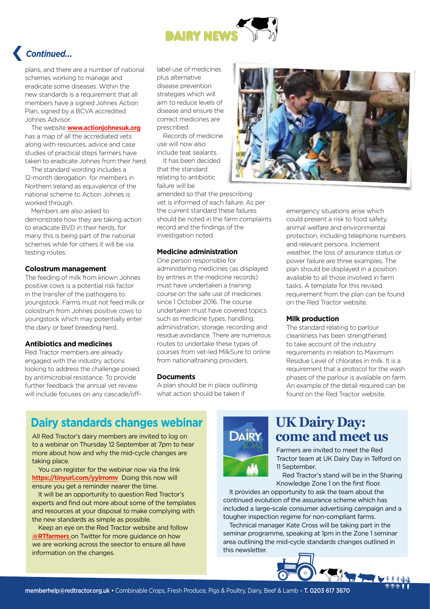

## › *Continued...*

plans, and there are a number of national schemes working to manage and eradicate some diseases. Within the new standards is a requirement that all members have a signed Johnes Action Plan, signed by a BCVA accredited Johnes Advisor.

The website **[www.actionjohnesuk.org](http://www.actionjohnesuk.org)** has a map of all the accrediated vets along with resources, advice and case studies of practical steps farmers have taken to eradicate Johnes from their herd.

The standard wording includes a 12-month derogation for members in Northern Ireland as equivalence of the national scheme to Action Johnes is worked through.

Members are also asked to demonstrate how they are taking action to eradicate BVD in their herds, for many this is being part of the national schemes while for others it will be via testing routes.

#### **Colostrum management**

The feeding of milk from known Johnes positive cows is a potential risk factor in the transfer of the pathogens to youngstock. Farms must not feed milk or colostrum from Johnes positive cows to youngstock which may potentially enter the dairy or beef breeding herd.

#### **Antibiotics and medicines**

Red Tractor members are already engaged with the industry actions looking to address the challenge posed by antimicrobial resistance. To provide further feedback the annual vet review will include focuses on any cascade/offlabel use of medicines plus alternative disease prevention strategies which will aim to reduce levels of disease and ensure the correct medicines are prescribed.

Records of medicine use will now also include teat sealants.

It has been decided that the standard relating to antibiotic failure will be

amended so that the prescribing vet is informed of each failure. As per the current standard these failures should be noted in the farm complaints record and the findings of the investigation noted.

#### **Medicine administration**

One person responsible for administering medicines (as displayed by entries in the medicine records) must have undertaken a training course on the safe use of medicines since 1 October 2016. The course undertaken must have covered topics such as medicine types, handling, administration, storage, recording and residue avoidance. There are numerous routes to undertake these types of courses from vet-led MilkSure to online from nationaltraining providers.

#### **Documents**

A plan should be in place outlining what action should be taken if



emergency situations arise which could present a risk to food safety, animal welfare and environmental protection, including telephone numbers and relevant persons. Inclement weather, the loss of assurance status or power failure are three examples. The plan should be displayed in a position available to all those involved in farm tasks. A template for this revised requirement from the plan can be found on the Red Tractor website.

#### **Milk production**

The standard relating to parlour cleanliness has been strengthened to take account of the industry requirements in relation to Maximum Residue Level of chlorates in milk. It is a requirement that a protocol for the wash phases of the parlour is available on farm. An example of the detail required can be found on the Red Tractor website.

### **Dairy standards changes webinar**

All Red Tractor's dairy members are invited to log on to a webinar on Thursday 12 September at 7pm to hear more about how and why the mid-cycle changes are taking place.

You can register for the webinar now via the link **<https://tinyurl.com/yylrromv>**Doing this now will ensure you get a reminder nearer the time.

It will be an opportunity to question Red Tractor's experts and find out more about some of the templates and resources at your disposal to make complying with the new standards as simple as possible.

Keep an eye on the Red Tractor website and follow **[@RTfarmers](https://twitter.com/rtfarmers)** on Twitter for more guidance on how we are working across the seector to ensure all have information on the changes.



## **UK Dairy Day: come and meet us**

Farmers are invited to meet the Red Tractor team at UK Dairy Day in Telford on 11 September.

Red Tractor's stand will be in the Sharing Knowledge Zone 1 on the first floor.

It provides an opportunity to ask the team about the continued evolution of the assurance scheme which has included a large-scale consumer advertising campaign and a tougher inspection regime for non-compliant farms.

Technical manager Kate Cross will be taking part in the seminar programme, speaking at 1pm in the Zone 1 seminar area outlining the mid-cycle standards changes outlined in this newsletter.

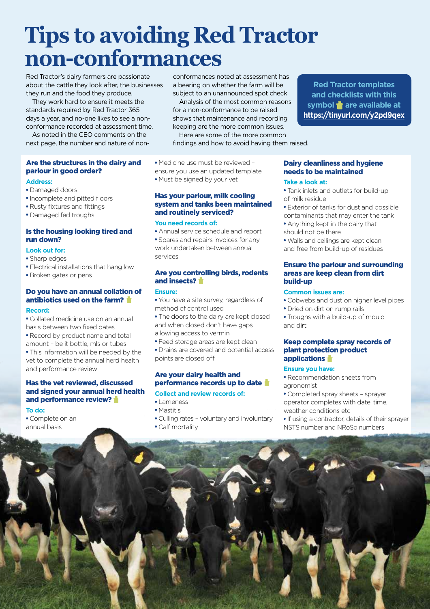## **Tips to avoiding Red Tractor non-conformances**

Red Tractor's dairy farmers are passionate about the cattle they look after, the businesses they run and the food they produce.

They work hard to ensure it meets the standards required by Red Tractor 365 days a year, and no-one likes to see a nonconformance recorded at assessment time.

As noted in the CEO comments on the next page, the number and nature of non-

#### Are the structures in the dairy and parlour in good order?

#### **Address:**

- Damaged doors
- Incomplete and pitted floors
- Rusty fixtures and fittings
- Damaged fed troughs

#### Is the housing looking tired and run down?

#### **Look out for:**

- Sharp edges
- **Electrical installations that hang low**
- **· Broken gates or pens**

#### Do you have an annual collation of antibiotics used on the farm?

#### **Record:**

- <sup>l</sup> Collated medicine use on an annual basis between two fixed dates
- Record by product name and total amount – be it bottle, mls or tubes
- This information will be needed by the vet to complete the annual herd health and performance review

#### Has the vet reviewed, discussed and signed your annual herd health and performance review?

#### **To do:**

• Complete on an annual basis

conformances noted at assessment has a bearing on whether the farm will be subject to an unannounced spot check

Analysis of the most common reasons for a non-conformance to be raised shows that maintenance and recording keeping are the more common issues.

Here are some of the more common findings and how to avoid having them raised.

• Medicine use must be reviewed ensure you use an updated template • Must be signed by your vet

#### Has your parlour, milk cooling system and tanks been maintained and routinely serviced?

#### **You need records of:**

• Annual service schedule and report • Spares and repairs invoices for any work undertaken between annual services

#### Are you controlling birds, rodents and insects?

#### **Ensure:**

• You have a site survey, regardless of method of control used

• The doors to the dairy are kept closed and when closed don't have gaps allowing access to vermin

• Feed storage areas are kept clean

• Drains are covered and potential access points are closed off

#### Are your dairy health and performance records up to date

#### **Collect and review records of:**

- Lameness
- Mastitis
- Culling rates voluntary and involuntary
- Calf mortality

#### Dairy cleanliness and hygiene needs to be maintained

#### **Take a look at:**

- Tank inlets and outlets for build-up of milk residue
- Exterior of tanks for dust and possible

**Red Tractor templates and checklists with this**  symbol **a** are available at **<https://tinyurl.com/y2pd9qex>**

- contaminants that may enter the tank
- Anything kept in the dairy that
- should not be there
- Walls and ceilings are kept clean and free from build-up of residues

#### Ensure the parlour and surrounding areas are keep clean from dirt build-up

- **Common issues are:**
- Cobwebs and dust on higher level pipes
- Dried on dirt on rump rails
- Troughs with a build-up of mould and dirt

#### Keep complete spray records of plant protection product applications **in**

- Recommendation sheets from agronomist
- Completed spray sheets sprayer operator completes with date, time, weather conditions etc
- If using a contractor, details of their sprayer NSTS number and NRoSo numbers

**Ensure you have:**

- 
-